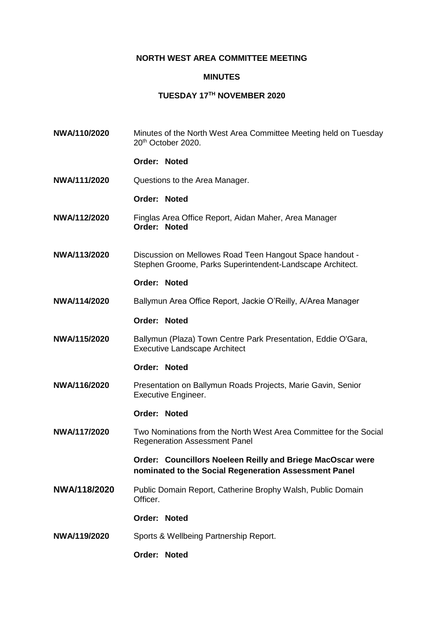## **NORTH WEST AREA COMMITTEE MEETING**

## **MINUTES**

## **TUESDAY 17TH NOVEMBER 2020**

**NWA/110/2020** Minutes of the North West Area Committee Meeting held on Tuesday 20th October 2020. **Order: Noted NWA/111/2020** Questions to the Area Manager. **Order: Noted NWA/112/2020** Finglas Area Office Report, Aidan Maher, Area Manager **Order: Noted NWA/113/2020** Discussion on Mellowes Road Teen Hangout Space handout - Stephen Groome, Parks Superintendent-Landscape Architect. **Order: Noted NWA/114/2020** Ballymun Area Office Report, Jackie O'Reilly, A/Area Manager **Order: Noted NWA/115/2020** Ballymun (Plaza) Town Centre Park Presentation, Eddie O'Gara, Executive Landscape Architect **Order: Noted NWA/116/2020** Presentation on Ballymun Roads Projects, Marie Gavin, Senior Executive Engineer. **Order: Noted NWA/117/2020** Two Nominations from the North West Area Committee for the Social Regeneration Assessment Panel **Order: Councillors Noeleen Reilly and Briege MacOscar were nominated to the Social Regeneration Assessment Panel NWA/118/2020** Public Domain Report, Catherine Brophy Walsh, Public Domain Officer. **Order: Noted NWA/119/2020** Sports & Wellbeing Partnership Report. **Order: Noted**